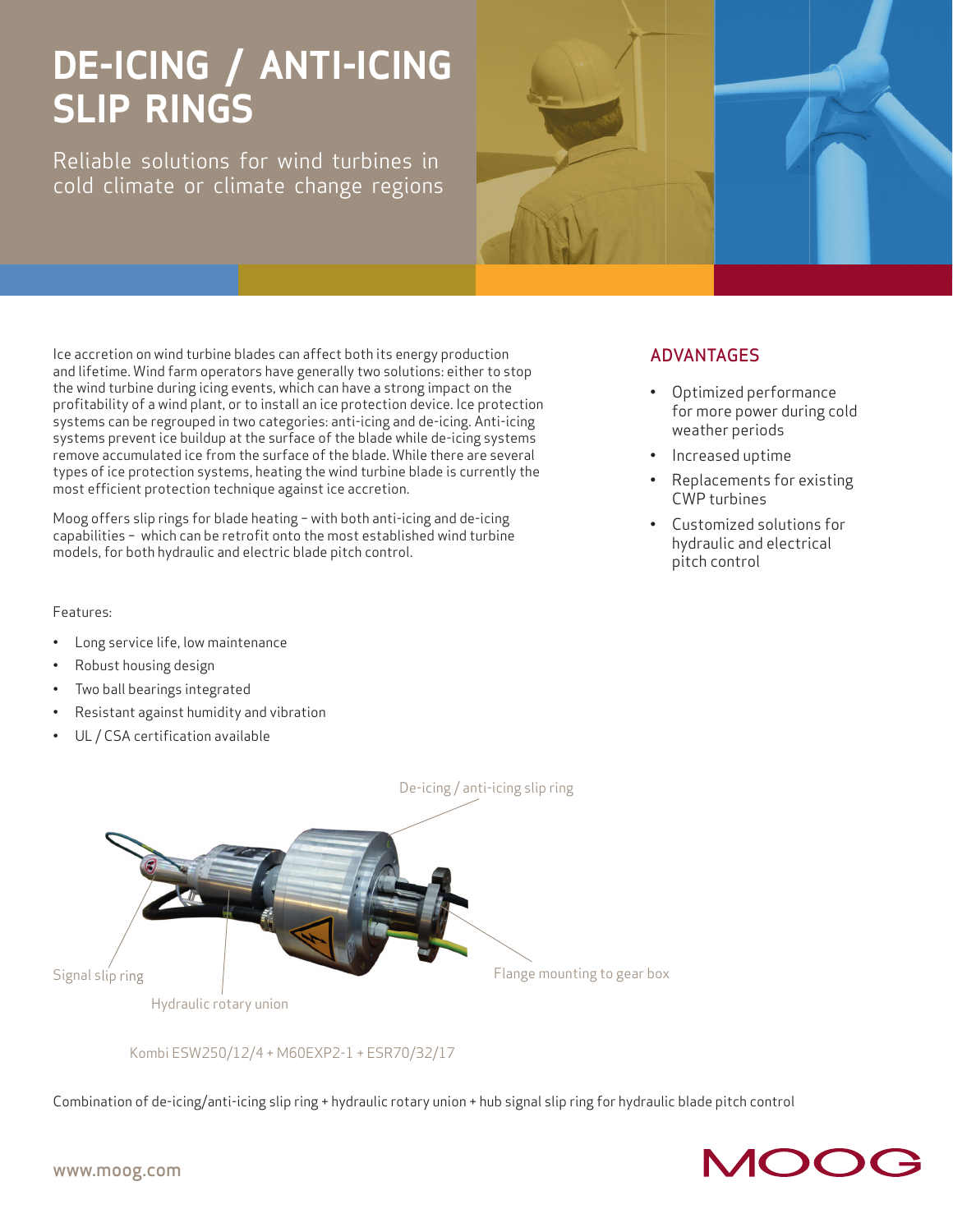# **DE-ICING / ANTI-ICING SLIP RINGS**

Reliable solutions for wind turbines in cold climate or climate change regions



Ice accretion on wind turbine blades can affect both its energy production and lifetime. Wind farm operators have generally two solutions: either to stop the wind turbine during icing events, which can have a strong impact on the profitability of a wind plant, or to install an ice protection device. Ice protection systems can be regrouped in two categories: anti-icing and de-icing. Anti-icing systems prevent ice buildup at the surface of the blade while de-icing systems remove accumulated ice from the surface of the blade. While there are several types of ice protection systems, heating the wind turbine blade is currently the most efficient protection technique against ice accretion.

Moog offers slip rings for blade heating – with both anti-icing and de-icing capabilities - which can be retrofit onto the most established wind turbine models, for both hydraulic and electric blade pitch control.

### Features:

- Long service life, low maintenance
- Robust housing design
- Two ball bearings integrated
- Resistant against humidity and vibration
- UL / CSA certification available

## ADVANTAGES

- Optimized performance for more power during cold weather periods
- Increased uptime
- Replacements for existing CWP turbines
- Customized solutions for hydraulic and electrical pitch control



Kombi ESW250/12/4 + M60EXP2-1 + ESR70/32/17

Combination of de-icing/anti-icing slip ring + hydraulic rotary union + hub signal slip ring for hydraulic blade pitch control